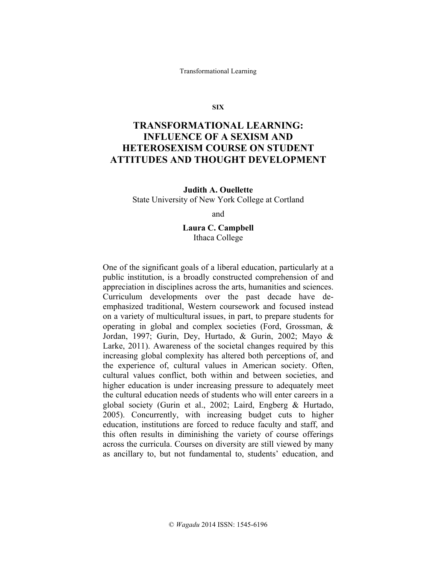Transformational Learning

**SIX**

# **TRANSFORMATIONAL LEARNING: INFLUENCE OF A SEXISM AND HETEROSEXISM COURSE ON STUDENT ATTITUDES AND THOUGHT DEVELOPMENT**

**Judith A. Ouellette** State University of New York College at Cortland

and

**Laura C. Campbell** Ithaca College

One of the significant goals of a liberal education, particularly at a public institution, is a broadly constructed comprehension of and appreciation in disciplines across the arts, humanities and sciences. Curriculum developments over the past decade have deemphasized traditional, Western coursework and focused instead on a variety of multicultural issues, in part, to prepare students for operating in global and complex societies (Ford, Grossman, & Jordan, 1997; Gurin, Dey, Hurtado, & Gurin, 2002; Mayo & Larke, 2011). Awareness of the societal changes required by this increasing global complexity has altered both perceptions of, and the experience of, cultural values in American society. Often, cultural values conflict, both within and between societies, and higher education is under increasing pressure to adequately meet the cultural education needs of students who will enter careers in a global society (Gurin et al., 2002; Laird, Engberg & Hurtado, 2005). Concurrently, with increasing budget cuts to higher education, institutions are forced to reduce faculty and staff, and this often results in diminishing the variety of course offerings across the curricula. Courses on diversity are still viewed by many as ancillary to, but not fundamental to, students' education, and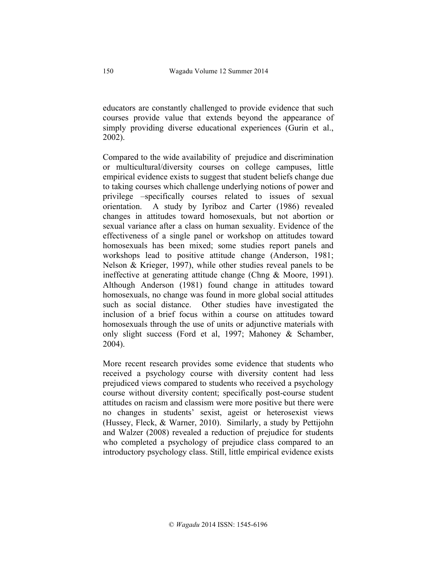educators are constantly challenged to provide evidence that such courses provide value that extends beyond the appearance of simply providing diverse educational experiences (Gurin et al., 2002).

Compared to the wide availability of prejudice and discrimination or multicultural/diversity courses on college campuses, little empirical evidence exists to suggest that student beliefs change due to taking courses which challenge underlying notions of power and privilege –specifically courses related to issues of sexual orientation. A study by Iyriboz and Carter (1986) revealed changes in attitudes toward homosexuals, but not abortion or sexual variance after a class on human sexuality. Evidence of the effectiveness of a single panel or workshop on attitudes toward homosexuals has been mixed; some studies report panels and workshops lead to positive attitude change (Anderson, 1981; Nelson & Krieger, 1997), while other studies reveal panels to be ineffective at generating attitude change (Chng & Moore, 1991). Although Anderson (1981) found change in attitudes toward homosexuals, no change was found in more global social attitudes such as social distance. Other studies have investigated the inclusion of a brief focus within a course on attitudes toward homosexuals through the use of units or adjunctive materials with only slight success (Ford et al, 1997; Mahoney & Schamber, 2004).

More recent research provides some evidence that students who received a psychology course with diversity content had less prejudiced views compared to students who received a psychology course without diversity content; specifically post-course student attitudes on racism and classism were more positive but there were no changes in students' sexist, ageist or heterosexist views (Hussey, Fleck, & Warner, 2010). Similarly, a study by Pettijohn and Walzer (2008) revealed a reduction of prejudice for students who completed a psychology of prejudice class compared to an introductory psychology class. Still, little empirical evidence exists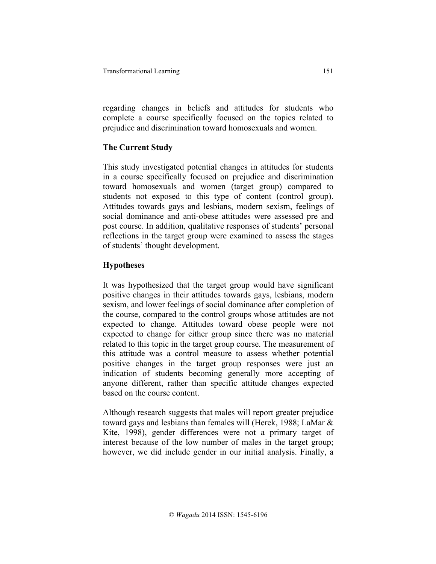regarding changes in beliefs and attitudes for students who complete a course specifically focused on the topics related to prejudice and discrimination toward homosexuals and women.

## **The Current Study**

This study investigated potential changes in attitudes for students in a course specifically focused on prejudice and discrimination toward homosexuals and women (target group) compared to students not exposed to this type of content (control group). Attitudes towards gays and lesbians, modern sexism, feelings of social dominance and anti-obese attitudes were assessed pre and post course. In addition, qualitative responses of students' personal reflections in the target group were examined to assess the stages of students' thought development.

# **Hypotheses**

It was hypothesized that the target group would have significant positive changes in their attitudes towards gays, lesbians, modern sexism, and lower feelings of social dominance after completion of the course, compared to the control groups whose attitudes are not expected to change. Attitudes toward obese people were not expected to change for either group since there was no material related to this topic in the target group course. The measurement of this attitude was a control measure to assess whether potential positive changes in the target group responses were just an indication of students becoming generally more accepting of anyone different, rather than specific attitude changes expected based on the course content.

Although research suggests that males will report greater prejudice toward gays and lesbians than females will (Herek, 1988; LaMar & Kite, 1998), gender differences were not a primary target of interest because of the low number of males in the target group; however, we did include gender in our initial analysis. Finally, a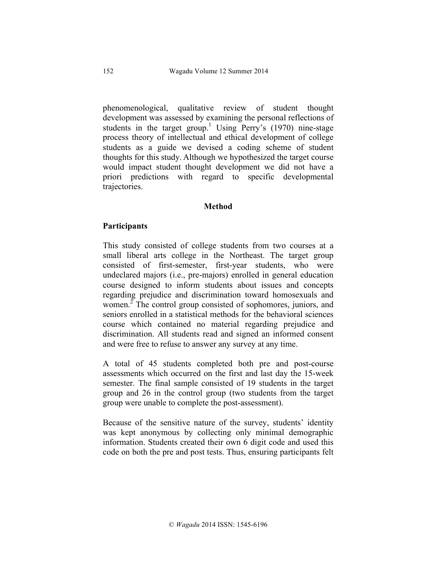phenomenological, qualitative review of student thought development was assessed by examining the personal reflections of students in the target group.<sup>1</sup> Using Perry's (1970) nine-stage process theory of intellectual and ethical development of college students as a guide we devised a coding scheme of student thoughts for this study. Although we hypothesized the target course would impact student thought development we did not have a priori predictions with regard to specific developmental trajectories.

#### **Method**

#### **Participants**

This study consisted of college students from two courses at a small liberal arts college in the Northeast. The target group consisted of first-semester, first-year students, who were undeclared majors (i.e., pre-majors) enrolled in general education course designed to inform students about issues and concepts regarding prejudice and discrimination toward homosexuals and women.<sup>2</sup> The control group consisted of sophomores, juniors, and seniors enrolled in a statistical methods for the behavioral sciences course which contained no material regarding prejudice and discrimination. All students read and signed an informed consent and were free to refuse to answer any survey at any time.

A total of 45 students completed both pre and post-course assessments which occurred on the first and last day the 15-week semester. The final sample consisted of 19 students in the target group and 26 in the control group (two students from the target group were unable to complete the post-assessment).

Because of the sensitive nature of the survey, students' identity was kept anonymous by collecting only minimal demographic information. Students created their own 6 digit code and used this code on both the pre and post tests. Thus, ensuring participants felt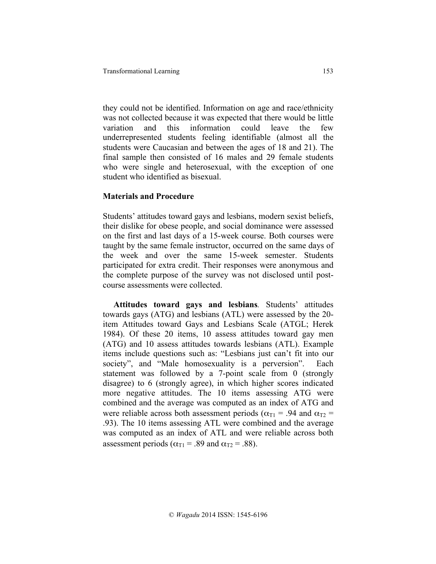they could not be identified. Information on age and race/ethnicity was not collected because it was expected that there would be little variation and this information could leave the few underrepresented students feeling identifiable (almost all the students were Caucasian and between the ages of 18 and 21). The final sample then consisted of 16 males and 29 female students who were single and heterosexual, with the exception of one student who identified as bisexual.

## **Materials and Procedure**

Students' attitudes toward gays and lesbians, modern sexist beliefs, their dislike for obese people, and social dominance were assessed on the first and last days of a 15-week course. Both courses were taught by the same female instructor, occurred on the same days of the week and over the same 15-week semester. Students participated for extra credit. Their responses were anonymous and the complete purpose of the survey was not disclosed until postcourse assessments were collected.

 **Attitudes toward gays and lesbians***.* Students' attitudes towards gays (ATG) and lesbians (ATL) were assessed by the 20 item Attitudes toward Gays and Lesbians Scale (ATGL; Herek 1984). Of these 20 items, 10 assess attitudes toward gay men (ATG) and 10 assess attitudes towards lesbians (ATL). Example items include questions such as: "Lesbians just can't fit into our society", and "Male homosexuality is a perversion". Each statement was followed by a 7-point scale from 0 (strongly disagree) to 6 (strongly agree), in which higher scores indicated more negative attitudes. The 10 items assessing ATG were combined and the average was computed as an index of ATG and were reliable across both assessment periods ( $\alpha_{T1}$  = .94 and  $\alpha_{T2}$  = .93). The 10 items assessing ATL were combined and the average was computed as an index of ATL and were reliable across both assessment periods ( $\alpha_{T1}$  = .89 and  $\alpha_{T2}$  = .88).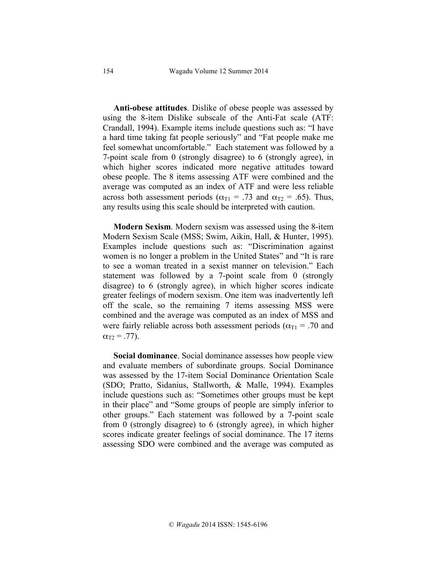**Anti-obese attitudes**. Dislike of obese people was assessed by using the 8-item Dislike subscale of the Anti-Fat scale (ATF: Crandall, 1994). Example items include questions such as: "I have a hard time taking fat people seriously" and "Fat people make me feel somewhat uncomfortable." Each statement was followed by a 7-point scale from 0 (strongly disagree) to 6 (strongly agree), in which higher scores indicated more negative attitudes toward obese people. The 8 items assessing ATF were combined and the average was computed as an index of ATF and were less reliable across both assessment periods ( $\alpha_{T1}$  = .73 and  $\alpha_{T2}$  = .65). Thus, any results using this scale should be interpreted with caution.

 **Modern Sexism**. Modern sexism was assessed using the 8-item Modern Sexism Scale (MSS; Swim, Aikin, Hall, & Hunter, 1995). Examples include questions such as: "Discrimination against women is no longer a problem in the United States" and "It is rare to see a woman treated in a sexist manner on television." Each statement was followed by a 7-point scale from 0 (strongly disagree) to 6 (strongly agree), in which higher scores indicate greater feelings of modern sexism. One item was inadvertently left off the scale, so the remaining 7 items assessing MSS were combined and the average was computed as an index of MSS and were fairly reliable across both assessment periods ( $\alpha_{\text{T1}}$  = .70 and  $\alpha_{T2} = .77$ ).

 **Social dominance**. Social dominance assesses how people view and evaluate members of subordinate groups. Social Dominance was assessed by the 17-item Social Dominance Orientation Scale (SDO; Pratto, Sidanius, Stallworth, & Malle, 1994). Examples include questions such as: "Sometimes other groups must be kept in their place" and "Some groups of people are simply inferior to other groups." Each statement was followed by a 7-point scale from 0 (strongly disagree) to 6 (strongly agree), in which higher scores indicate greater feelings of social dominance. The 17 items assessing SDO were combined and the average was computed as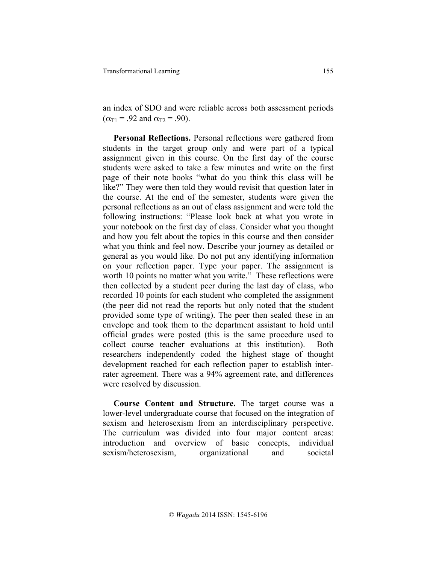an index of SDO and were reliable across both assessment periods  $(\alpha_{T1} = .92 \text{ and } \alpha_{T2} = .90).$ 

 **Personal Reflections.** Personal reflections were gathered from students in the target group only and were part of a typical assignment given in this course. On the first day of the course students were asked to take a few minutes and write on the first page of their note books "what do you think this class will be like?" They were then told they would revisit that question later in the course. At the end of the semester, students were given the personal reflections as an out of class assignment and were told the following instructions: "Please look back at what you wrote in your notebook on the first day of class. Consider what you thought and how you felt about the topics in this course and then consider what you think and feel now. Describe your journey as detailed or general as you would like. Do not put any identifying information on your reflection paper. Type your paper. The assignment is worth 10 points no matter what you write." These reflections were then collected by a student peer during the last day of class, who recorded 10 points for each student who completed the assignment (the peer did not read the reports but only noted that the student provided some type of writing). The peer then sealed these in an envelope and took them to the department assistant to hold until official grades were posted (this is the same procedure used to collect course teacher evaluations at this institution). Both researchers independently coded the highest stage of thought development reached for each reflection paper to establish interrater agreement. There was a 94% agreement rate, and differences were resolved by discussion.

 **Course Content and Structure.** The target course was a lower-level undergraduate course that focused on the integration of sexism and heterosexism from an interdisciplinary perspective. The curriculum was divided into four major content areas: introduction and overview of basic concepts, individual sexism/heterosexism, organizational and societal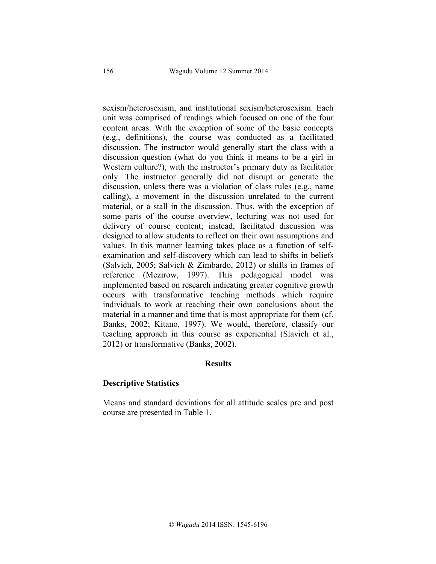sexism/heterosexism, and institutional sexism/heterosexism. Each unit was comprised of readings which focused on one of the four content areas. With the exception of some of the basic concepts (e.g., definitions), the course was conducted as a facilitated discussion. The instructor would generally start the class with a discussion question (what do you think it means to be a girl in Western culture?), with the instructor's primary duty as facilitator only. The instructor generally did not disrupt or generate the discussion, unless there was a violation of class rules (e.g., name calling), a movement in the discussion unrelated to the current material, or a stall in the discussion. Thus, with the exception of some parts of the course overview, lecturing was not used for delivery of course content; instead, facilitated discussion was designed to allow students to reflect on their own assumptions and values. In this manner learning takes place as a function of selfexamination and self-discovery which can lead to shifts in beliefs (Salvich, 2005; Salvich & Zimbardo, 2012) or shifts in frames of reference (Mezirow, 1997). This pedagogical model was implemented based on research indicating greater cognitive growth occurs with transformative teaching methods which require individuals to work at reaching their own conclusions about the material in a manner and time that is most appropriate for them (cf. Banks, 2002; Kitano, 1997). We would, therefore, classify our teaching approach in this course as experiential (Slavich et al., 2012) or transformative (Banks, 2002).

## **Results**

## **Descriptive Statistics**

Means and standard deviations for all attitude scales pre and post course are presented in Table 1.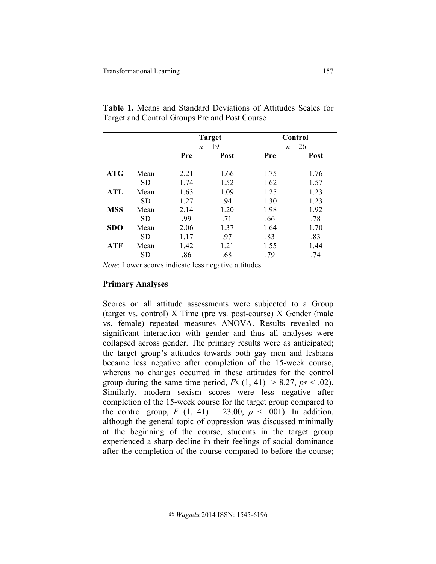|            |           | <b>Target</b><br>$n = 19$ |      | Control<br>$n = 26$ |      |  |
|------------|-----------|---------------------------|------|---------------------|------|--|
|            |           | Pre                       | Post | Pre                 | Post |  |
| <b>ATG</b> | Mean      | 2.21                      | 1.66 | 1.75                | 1.76 |  |
|            | SD        | 1.74                      | 1.52 | 1.62                | 1.57 |  |
| <b>ATL</b> | Mean      | 1.63                      | 1.09 | 1.25                | 1.23 |  |
|            | <b>SD</b> | 1.27                      | .94  | 1.30                | 1.23 |  |
| <b>MSS</b> | Mean      | 2.14                      | 1.20 | 1.98                | 1.92 |  |
|            | <b>SD</b> | .99                       | .71  | .66                 | .78  |  |
| <b>SDO</b> | Mean      | 2.06                      | 1.37 | 1.64                | 1.70 |  |
|            | <b>SD</b> | 1.17                      | .97  | .83                 | .83  |  |
| <b>ATF</b> | Mean      | 1.42                      | 1.21 | 1.55                | 1.44 |  |
|            | SD        | .86                       | .68  | .79                 | .74  |  |

**Table 1.** Means and Standard Deviations of Attitudes Scales for Target and Control Groups Pre and Post Course

*Note*: Lower scores indicate less negative attitudes.

#### **Primary Analyses**

Scores on all attitude assessments were subjected to a Group (target vs. control) X Time (pre vs. post-course) X Gender (male vs. female) repeated measures ANOVA. Results revealed no significant interaction with gender and thus all analyses were collapsed across gender. The primary results were as anticipated; the target group's attitudes towards both gay men and lesbians became less negative after completion of the 15-week course, whereas no changes occurred in these attitudes for the control group during the same time period,  $Fs(1, 41) > 8.27, ps < .02$ ). Similarly, modern sexism scores were less negative after completion of the 15-week course for the target group compared to the control group,  $F(1, 41) = 23.00, p < .001$ ). In addition, although the general topic of oppression was discussed minimally at the beginning of the course, students in the target group experienced a sharp decline in their feelings of social dominance after the completion of the course compared to before the course;

157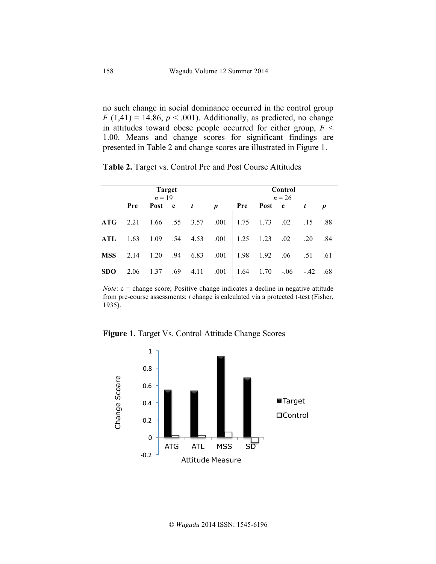no such change in social dominance occurred in the control group  $F(1,41) = 14.86$ ,  $p < .001$ ). Additionally, as predicted, no change in attitudes toward obese people occurred for either group,  $F \leq$ 1.00. Means and change scores for significant findings are presented in Table 2 and change scores are illustrated in Figure 1.

**Table 2.** Target vs. Control Pre and Post Course Attitudes

|            | <b>Target</b><br>$n = 19$ |        |     |                    | Control<br>$n = 26$ |      |                   |     |               |     |
|------------|---------------------------|--------|-----|--------------------|---------------------|------|-------------------|-----|---------------|-----|
|            | Pre                       | Post c |     | $\frac{t}{t}$      | $\boldsymbol{D}$    | Pre  | Post c            |     | $\mathbf{t}$  |     |
| ATG        | 2.21                      | 1.66   |     | .55 3.57 .001      |                     |      | $1.75$ $1.73$ .02 |     | .15           | .88 |
| <b>ATL</b> | 1.63                      |        |     | 1.09 .54 4.53 .001 |                     |      | $1.25$ $1.23$     | .02 | .20           | .84 |
| <b>MSS</b> | 2.14                      | 1.20   |     | $.94$ 6.83         | .001                | 1.98 | 1.92              |     | $.06$ .51     | .61 |
| <b>SDO</b> | 2.06                      | 1.37   | .69 | 4.11               | .001                | 1.64 | 1.70              |     | $-.06-.42.68$ |     |

*Note*: c = change score; Positive change indicates a decline in negative attitude from pre-course assessments; *t* change is calculated via a protected t-test (Fisher, 1935).

**Figure 1.** Target Vs. Control Attitude Change Scores

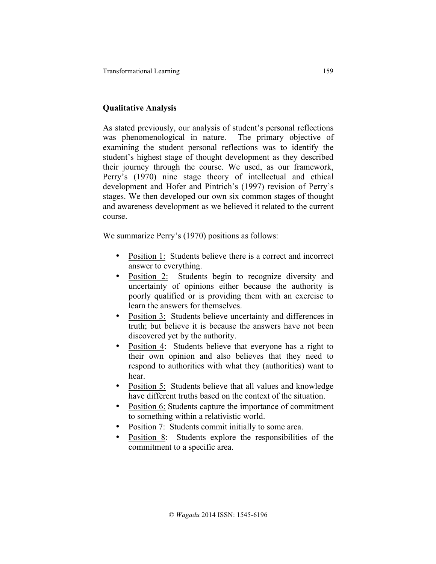# **Qualitative Analysis**

As stated previously, our analysis of student's personal reflections was phenomenological in nature. The primary objective of examining the student personal reflections was to identify the student's highest stage of thought development as they described their journey through the course. We used, as our framework, Perry's (1970) nine stage theory of intellectual and ethical development and Hofer and Pintrich's (1997) revision of Perry's stages. We then developed our own six common stages of thought and awareness development as we believed it related to the current course.

We summarize Perry's (1970) positions as follows:

- Position 1: Students believe there is a correct and incorrect answer to everything.
- Position 2: Students begin to recognize diversity and uncertainty of opinions either because the authority is poorly qualified or is providing them with an exercise to learn the answers for themselves.
- Position 3: Students believe uncertainty and differences in truth; but believe it is because the answers have not been discovered yet by the authority.
- Position 4: Students believe that everyone has a right to their own opinion and also believes that they need to respond to authorities with what they (authorities) want to hear.
- Position 5: Students believe that all values and knowledge have different truths based on the context of the situation.
- Position 6: Students capture the importance of commitment to something within a relativistic world.
- Position 7: Students commit initially to some area.
- Position 8: Students explore the responsibilities of the commitment to a specific area.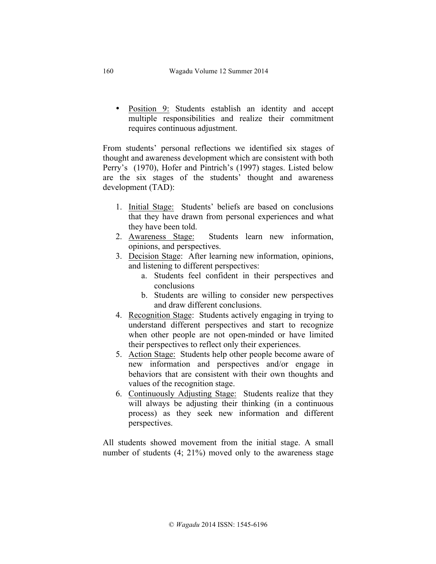• Position 9: Students establish an identity and accept multiple responsibilities and realize their commitment requires continuous adjustment.

From students' personal reflections we identified six stages of thought and awareness development which are consistent with both Perry's (1970), Hofer and Pintrich's (1997) stages. Listed below are the six stages of the students' thought and awareness development (TAD):

- 1. Initial Stage: Students' beliefs are based on conclusions that they have drawn from personal experiences and what they have been told.
- 2. Awareness Stage: Students learn new information, opinions, and perspectives.
- 3. Decision Stage: After learning new information, opinions, and listening to different perspectives:
	- a. Students feel confident in their perspectives and conclusions
	- b. Students are willing to consider new perspectives and draw different conclusions.
- 4. Recognition Stage: Students actively engaging in trying to understand different perspectives and start to recognize when other people are not open-minded or have limited their perspectives to reflect only their experiences.
- 5. Action Stage: Students help other people become aware of new information and perspectives and/or engage in behaviors that are consistent with their own thoughts and values of the recognition stage.
- 6. Continuously Adjusting Stage: Students realize that they will always be adjusting their thinking (in a continuous process) as they seek new information and different perspectives.

All students showed movement from the initial stage. A small number of students (4; 21%) moved only to the awareness stage

160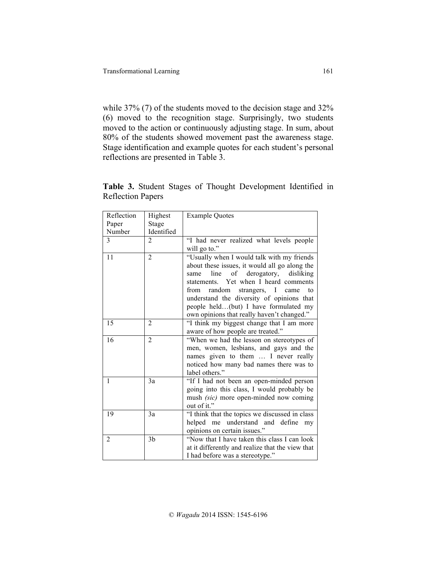while 37% (7) of the students moved to the decision stage and 32% (6) moved to the recognition stage. Surprisingly, two students moved to the action or continuously adjusting stage. In sum, about 80% of the students showed movement past the awareness stage. Stage identification and example quotes for each student's personal reflections are presented in Table 3.

**Table 3.** Student Stages of Thought Development Identified in Reflection Papers

| Reflection     | Highest        | <b>Example Quotes</b>                            |
|----------------|----------------|--------------------------------------------------|
| Paper          | Stage          |                                                  |
| Number         | Identified     |                                                  |
| $\overline{3}$ | $\overline{2}$ | "I had never realized what levels people         |
|                |                | will go to."                                     |
| 11             | $\overline{2}$ | "Usually when I would talk with my friends       |
|                |                | about these issues, it would all go along the    |
|                |                | line of derogatory, disliking<br>same            |
|                |                | statements. Yet when I heard comments            |
|                |                | random strangers, I came<br>from<br>to           |
|                |                | understand the diversity of opinions that        |
|                |                | people held(but) I have formulated my            |
|                |                | own opinions that really haven't changed."       |
| 15             | $\overline{2}$ | "I think my biggest change that I am more        |
|                |                | aware of how people are treated."                |
| 16             | $\overline{2}$ | "When we had the lesson on stereotypes of        |
|                |                | men, women, lesbians, and gays and the           |
|                |                | names given to them  I never really              |
|                |                | noticed how many bad names there was to          |
|                |                | label others."                                   |
| $\mathbf{1}$   | 3a             | "If I had not been an open-minded person         |
|                |                | going into this class, I would probably be       |
|                |                | mush <i>(sic)</i> more open-minded now coming    |
|                |                | out of it."                                      |
| 19             | 3a             | "I think that the topics we discussed in class   |
|                |                | helped me understand and define<br>my            |
|                |                | opinions on certain issues."                     |
| $\overline{2}$ | 3 <sub>b</sub> | "Now that I have taken this class I can look"    |
|                |                | at it differently and realize that the view that |
|                |                | I had before was a stereotype."                  |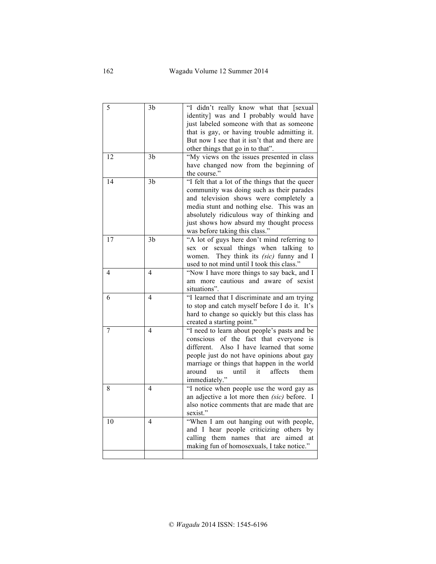| 5  | 3b             | "I didn't really know what that [sexual         |
|----|----------------|-------------------------------------------------|
|    |                | identity] was and I probably would have         |
|    |                | just labeled someone with that as someone       |
|    |                | that is gay, or having trouble admitting it.    |
|    |                | But now I see that it isn't that and there are  |
|    |                | other things that go in to that".               |
| 12 | 3 <sub>b</sub> | "My views on the issues presented in class      |
|    |                | have changed now from the beginning of          |
|    |                | the course."                                    |
| 14 | 3 <sub>b</sub> | "I felt that a lot of the things that the queer |
|    |                | community was doing such as their parades       |
|    |                | and television shows were completely a          |
|    |                | media stunt and nothing else. This was an       |
|    |                | absolutely ridiculous way of thinking and       |
|    |                | just shows how absurd my thought process        |
|    |                | was before taking this class."                  |
| 17 | 3 <sub>b</sub> | "A lot of guys here don't mind referring to     |
|    |                | sexual things when talking to<br>sex or         |
|    |                | They think its (sic) funny and I<br>women.      |
|    |                | used to not mind until I took this class."      |
| 4  | $\overline{4}$ | "Now I have more things to say back, and I      |
|    |                | am more cautious and aware of sexist            |
|    |                | situations".                                    |
| 6  | $\overline{4}$ | "I learned that I discriminate and am trying    |
|    |                | to stop and catch myself before I do it. It's   |
|    |                | hard to change so quickly but this class has    |
|    |                | created a starting point."                      |
| 7  | 4              | "I need to learn about people's pasts and be    |
|    |                | of the fact that everyone is<br>conscious       |
|    |                | different.<br>Also I have learned that some     |
|    |                | people just do not have opinions about gay      |
|    |                | marriage or things that happen in the world     |
|    |                | until<br>it<br>affects<br>them<br>around<br>us  |
|    |                | immediately."                                   |
| 8  | $\overline{4}$ | "I notice when people use the word gay as       |
|    |                | an adjective a lot more then (sic) before. I    |
|    |                | also notice comments that are made that are     |
|    |                | sexist."                                        |
| 10 | 4              | "When I am out hanging out with people,         |
|    |                | and I hear people criticizing others by         |
|    |                | calling them names that are aimed at            |
|    |                | making fun of homosexuals, I take notice."      |
|    |                |                                                 |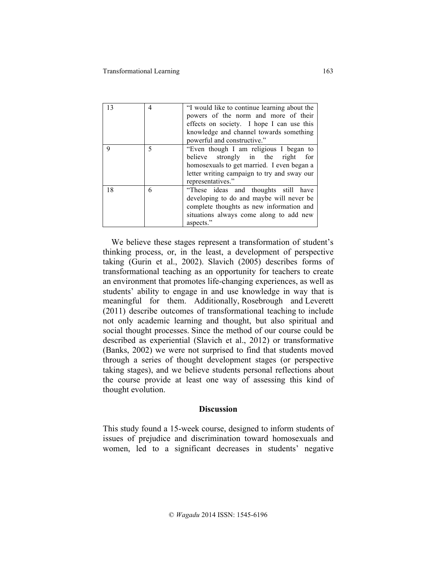| 13 | 4 | "I would like to continue learning about the<br>powers of the norm and more of their<br>effects on society. I hope I can use this<br>knowledge and channel towards something<br>powerful and constructive." |
|----|---|-------------------------------------------------------------------------------------------------------------------------------------------------------------------------------------------------------------|
| 9  | 5 | "Even though I am religious I began to<br>believe strongly in the right<br>for<br>homosexuals to get married. I even began a<br>letter writing campaign to try and sway our<br>representatives."            |
| 18 | 6 | "These ideas and thoughts still have<br>developing to do and maybe will never be<br>complete thoughts as new information and<br>situations always come along to add new<br>aspects."                        |

 We believe these stages represent a transformation of student's thinking process, or, in the least, a development of perspective taking (Gurin et al., 2002). Slavich (2005) describes forms of transformational teaching as an opportunity for teachers to create an environment that promotes life-changing experiences, as well as students' ability to engage in and use knowledge in way that is meaningful for them. Additionally, Rosebrough and Leverett (2011) describe outcomes of transformational teaching to include not only academic learning and thought, but also spiritual and social thought processes. Since the method of our course could be described as experiential (Slavich et al., 2012) or transformative (Banks, 2002) we were not surprised to find that students moved through a series of thought development stages (or perspective taking stages), and we believe students personal reflections about the course provide at least one way of assessing this kind of thought evolution.

#### **Discussion**

This study found a 15-week course, designed to inform students of issues of prejudice and discrimination toward homosexuals and women, led to a significant decreases in students' negative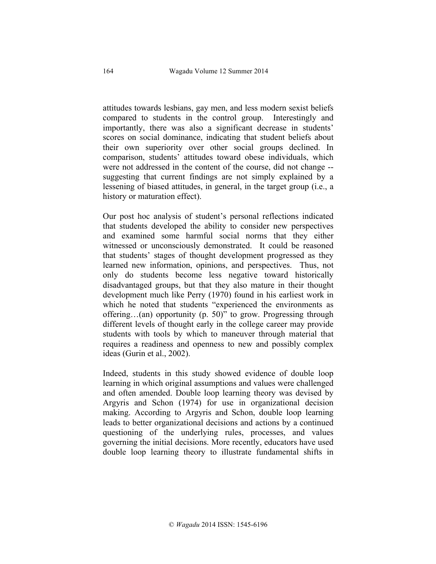attitudes towards lesbians, gay men, and less modern sexist beliefs compared to students in the control group. Interestingly and importantly, there was also a significant decrease in students' scores on social dominance, indicating that student beliefs about their own superiority over other social groups declined. In comparison, students' attitudes toward obese individuals, which were not addressed in the content of the course, did not change - suggesting that current findings are not simply explained by a lessening of biased attitudes, in general, in the target group (i.e., a history or maturation effect).

Our post hoc analysis of student's personal reflections indicated that students developed the ability to consider new perspectives and examined some harmful social norms that they either witnessed or unconsciously demonstrated. It could be reasoned that students' stages of thought development progressed as they learned new information, opinions, and perspectives. Thus, not only do students become less negative toward historically disadvantaged groups, but that they also mature in their thought development much like Perry (1970) found in his earliest work in which he noted that students "experienced the environments as offering…(an) opportunity (p. 50)" to grow. Progressing through different levels of thought early in the college career may provide students with tools by which to maneuver through material that requires a readiness and openness to new and possibly complex ideas (Gurin et al., 2002).

Indeed, students in this study showed evidence of double loop learning in which original assumptions and values were challenged and often amended. Double loop learning theory was devised by Argyris and Schon (1974) for use in organizational decision making. According to Argyris and Schon, double loop learning leads to better organizational decisions and actions by a continued questioning of the underlying rules, processes, and values governing the initial decisions. More recently, educators have used double loop learning theory to illustrate fundamental shifts in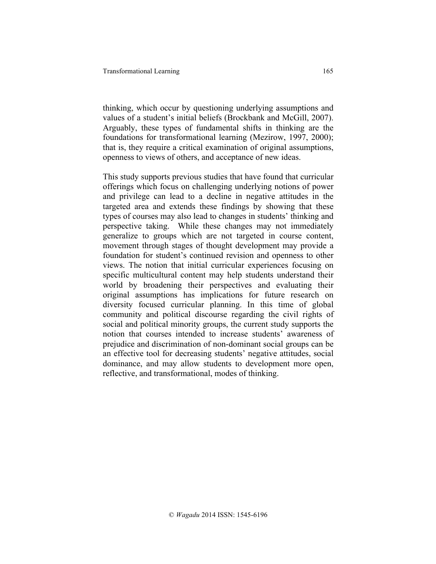thinking, which occur by questioning underlying assumptions and values of a student's initial beliefs (Brockbank and McGill, 2007). Arguably, these types of fundamental shifts in thinking are the foundations for transformational learning (Mezirow, 1997, 2000); that is, they require a critical examination of original assumptions, openness to views of others, and acceptance of new ideas.

This study supports previous studies that have found that curricular offerings which focus on challenging underlying notions of power and privilege can lead to a decline in negative attitudes in the targeted area and extends these findings by showing that these types of courses may also lead to changes in students' thinking and perspective taking. While these changes may not immediately generalize to groups which are not targeted in course content, movement through stages of thought development may provide a foundation for student's continued revision and openness to other views. The notion that initial curricular experiences focusing on specific multicultural content may help students understand their world by broadening their perspectives and evaluating their original assumptions has implications for future research on diversity focused curricular planning. In this time of global community and political discourse regarding the civil rights of social and political minority groups, the current study supports the notion that courses intended to increase students' awareness of prejudice and discrimination of non-dominant social groups can be an effective tool for decreasing students' negative attitudes, social dominance, and may allow students to development more open, reflective, and transformational, modes of thinking.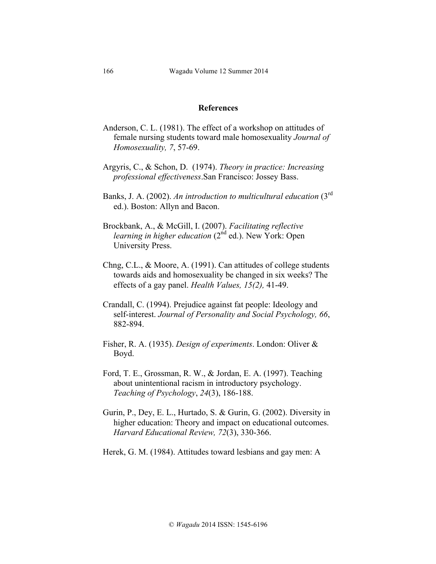#### **References**

- Anderson, C. L. (1981). The effect of a workshop on attitudes of female nursing students toward male homosexuality *Journal of Homosexuality, 7*, 57-69.
- Argyris, C., & Schon, D. (1974). *Theory in practice: Increasing professional effectiveness*.San Francisco: Jossey Bass.
- Banks, J. A. (2002). *An introduction to multicultural education* (3rd ed.). Boston: Allyn and Bacon.
- Brockbank, A., & McGill, I. (2007). *Facilitating reflective learning in higher education* (2<sup>nd</sup> ed.). New York: Open University Press.
- Chng, C.L., & Moore, A. (1991). Can attitudes of college students towards aids and homosexuality be changed in six weeks? The effects of a gay panel. *Health Values, 15(2),* 41-49.
- Crandall, C. (1994). Prejudice against fat people: Ideology and self-interest. *Journal of Personality and Social Psychology, 66*, 882-894.
- Fisher, R. A. (1935). *Design of experiments*. London: Oliver & Boyd.
- Ford, T. E., Grossman, R. W., & Jordan, E. A. (1997). Teaching about unintentional racism in introductory psychology. *Teaching of Psychology*, *24*(3), 186-188.
- Gurin, P., Dey, E. L., Hurtado, S. & Gurin, G. (2002). Diversity in higher education: Theory and impact on educational outcomes. *Harvard Educational Review, 72*(3), 330-366.
- Herek, G. M. (1984). Attitudes toward lesbians and gay men: A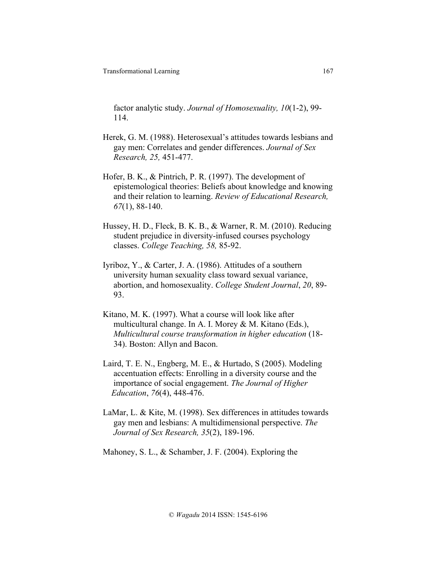factor analytic study. *Journal of Homosexuality, 10*(1-2), 99- 114.

- Herek, G. M. (1988). Heterosexual's attitudes towards lesbians and gay men: Correlates and gender differences. *Journal of Sex Research, 25,* 451-477.
- Hofer, B. K., & Pintrich, P. R. (1997). The development of epistemological theories: Beliefs about knowledge and knowing and their relation to learning. *Review of Educational Research, 67*(1), 88-140.
- Hussey, H. D., Fleck, B. K. B., & Warner, R. M. (2010). Reducing student prejudice in diversity-infused courses psychology classes. *College Teaching, 58,* 85-92.
- Iyriboz, Y., & Carter, J. A. (1986). Attitudes of a southern university human sexuality class toward sexual variance, abortion, and homosexuality. *College Student Journal*, *20*, 89- 93.
- Kitano, M. K. (1997). What a course will look like after multicultural change. In A. I. Morey & M. Kitano (Eds.), *Multicultural course transformation in higher education* (18- 34). Boston: Allyn and Bacon.
- Laird, T. E. N., Engberg, M. E., & Hurtado, S (2005). Modeling accentuation effects: Enrolling in a diversity course and the importance of social engagement. *The Journal of Higher Education*, *76*(4), 448-476.
- LaMar, L. & Kite, M. (1998). Sex differences in attitudes towards gay men and lesbians: A multidimensional perspective. *The Journal of Sex Research, 35*(2), 189-196.

Mahoney, S. L., & Schamber, J. F. (2004). Exploring the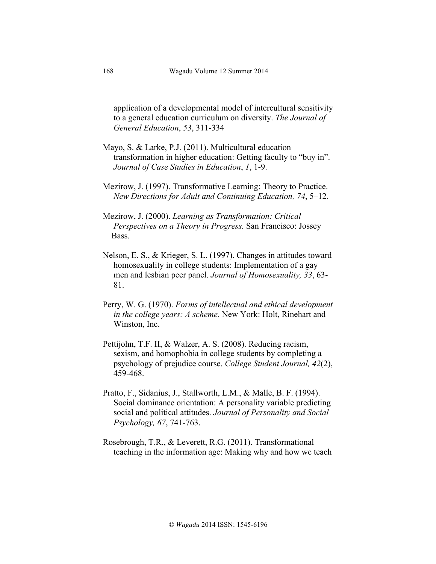application of a developmental model of intercultural sensitivity to a general education curriculum on diversity. *The Journal of General Education*, *53*, 311-334

- Mayo, S. & Larke, P.J. (2011). Multicultural education transformation in higher education: Getting faculty to "buy in". *Journal of Case Studies in Education*, *1*, 1-9.
- Mezirow, J. (1997). Transformative Learning: Theory to Practice. *New Directions for Adult and Continuing Education, 74*, 5–12.
- Mezirow, J. (2000). *Learning as Transformation: Critical Perspectives on a Theory in Progress.* San Francisco: Jossey Bass.
- Nelson, E. S., & Krieger, S. L. (1997). Changes in attitudes toward homosexuality in college students: Implementation of a gay men and lesbian peer panel. *Journal of Homosexuality, 33*, 63- 81.
- Perry, W. G. (1970). *Forms of intellectual and ethical development in the college years: A scheme.* New York: Holt, Rinehart and Winston, Inc.
- Pettijohn, T.F. II, & Walzer, A. S. (2008). Reducing racism, sexism, and homophobia in college students by completing a psychology of prejudice course. *College Student Journal, 42*(2), 459-468.
- Pratto, F., Sidanius, J., Stallworth, L.M., & Malle, B. F. (1994). Social dominance orientation: A personality variable predicting social and political attitudes. *Journal of Personality and Social Psychology, 67*, 741-763.
- Rosebrough, T.R., & Leverett, R.G. (2011). Transformational teaching in the information age: Making why and how we teach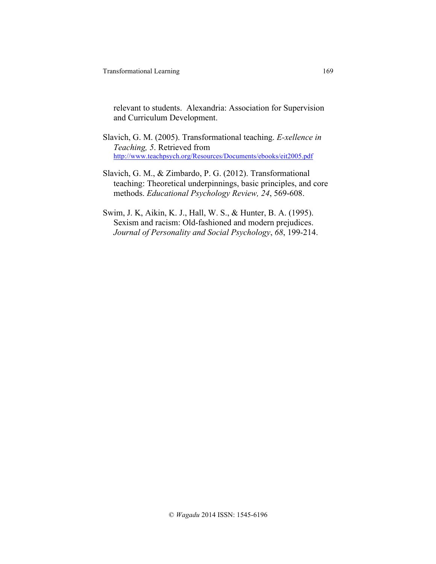relevant to students. Alexandria: Association for Supervision and Curriculum Development.

- Slavich, G. M. (2005). Transformational teaching. *E-xellence in Teaching, 5*. Retrieved from http://www.teachpsych.org/Resources/Documents/ebooks/eit2005.pdf
- Slavich, G. M., & Zimbardo, P. G. (2012). Transformational teaching: Theoretical underpinnings, basic principles, and core methods. *Educational Psychology Review, 24*, 569-608.
- Swim, J. K, Aikin, K. J., Hall, W. S., & Hunter, B. A. (1995). Sexism and racism: Old-fashioned and modern prejudices. *Journal of Personality and Social Psychology*, *68*, 199-214.